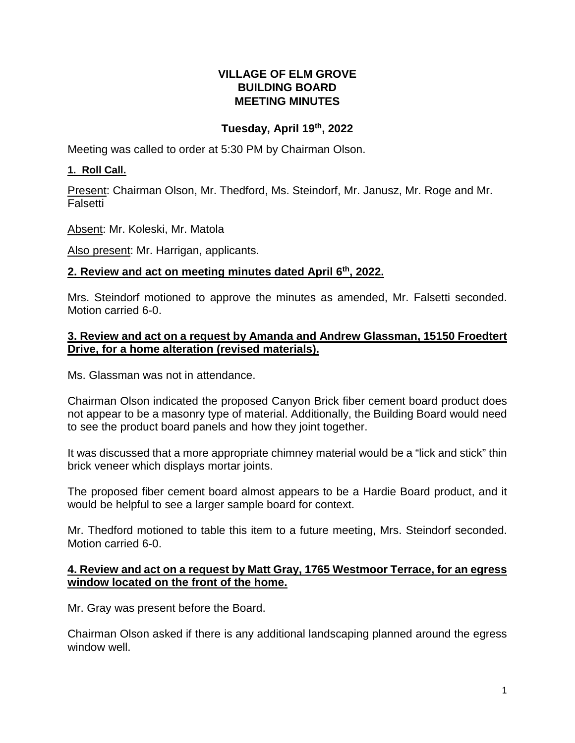### **VILLAGE OF ELM GROVE BUILDING BOARD MEETING MINUTES**

## **Tuesday, April 19th, 2022**

Meeting was called to order at 5:30 PM by Chairman Olson.

## **1. Roll Call.**

Present: Chairman Olson, Mr. Thedford, Ms. Steindorf, Mr. Janusz, Mr. Roge and Mr. Falsetti

Absent: Mr. Koleski, Mr. Matola

Also present: Mr. Harrigan, applicants.

### **2. Review and act on meeting minutes dated April 6th, 2022.**

Mrs. Steindorf motioned to approve the minutes as amended, Mr. Falsetti seconded. Motion carried 6-0.

### **3. Review and act on a request by Amanda and Andrew Glassman, 15150 Froedtert Drive, for a home alteration (revised materials).**

Ms. Glassman was not in attendance.

Chairman Olson indicated the proposed Canyon Brick fiber cement board product does not appear to be a masonry type of material. Additionally, the Building Board would need to see the product board panels and how they joint together.

It was discussed that a more appropriate chimney material would be a "lick and stick" thin brick veneer which displays mortar joints.

The proposed fiber cement board almost appears to be a Hardie Board product, and it would be helpful to see a larger sample board for context.

Mr. Thedford motioned to table this item to a future meeting, Mrs. Steindorf seconded. Motion carried 6-0.

### **4. Review and act on a request by Matt Gray, 1765 Westmoor Terrace, for an egress window located on the front of the home.**

Mr. Gray was present before the Board.

Chairman Olson asked if there is any additional landscaping planned around the egress window well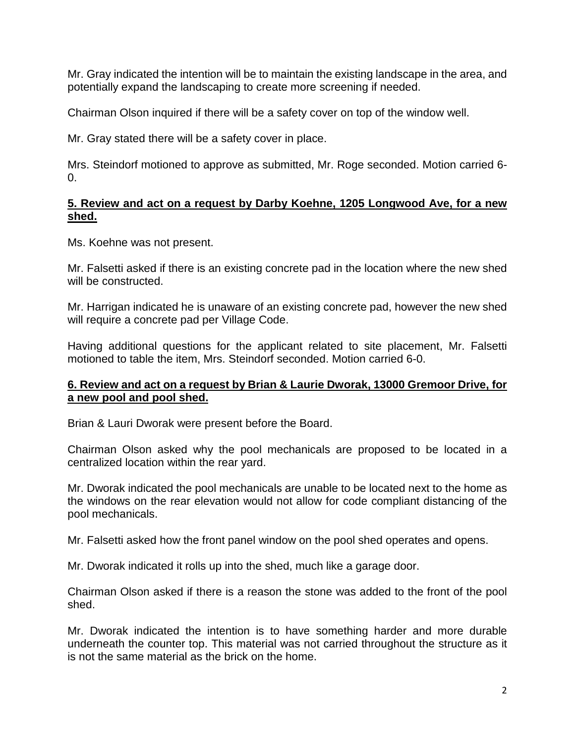Mr. Gray indicated the intention will be to maintain the existing landscape in the area, and potentially expand the landscaping to create more screening if needed.

Chairman Olson inquired if there will be a safety cover on top of the window well.

Mr. Gray stated there will be a safety cover in place.

Mrs. Steindorf motioned to approve as submitted, Mr. Roge seconded. Motion carried 6-  $\Omega$ .

#### **5. Review and act on a request by Darby Koehne, 1205 Longwood Ave, for a new shed.**

Ms. Koehne was not present.

Mr. Falsetti asked if there is an existing concrete pad in the location where the new shed will be constructed.

Mr. Harrigan indicated he is unaware of an existing concrete pad, however the new shed will require a concrete pad per Village Code.

Having additional questions for the applicant related to site placement, Mr. Falsetti motioned to table the item, Mrs. Steindorf seconded. Motion carried 6-0.

### **6. Review and act on a request by Brian & Laurie Dworak, 13000 Gremoor Drive, for a new pool and pool shed.**

Brian & Lauri Dworak were present before the Board.

Chairman Olson asked why the pool mechanicals are proposed to be located in a centralized location within the rear yard.

Mr. Dworak indicated the pool mechanicals are unable to be located next to the home as the windows on the rear elevation would not allow for code compliant distancing of the pool mechanicals.

Mr. Falsetti asked how the front panel window on the pool shed operates and opens.

Mr. Dworak indicated it rolls up into the shed, much like a garage door.

Chairman Olson asked if there is a reason the stone was added to the front of the pool shed.

Mr. Dworak indicated the intention is to have something harder and more durable underneath the counter top. This material was not carried throughout the structure as it is not the same material as the brick on the home.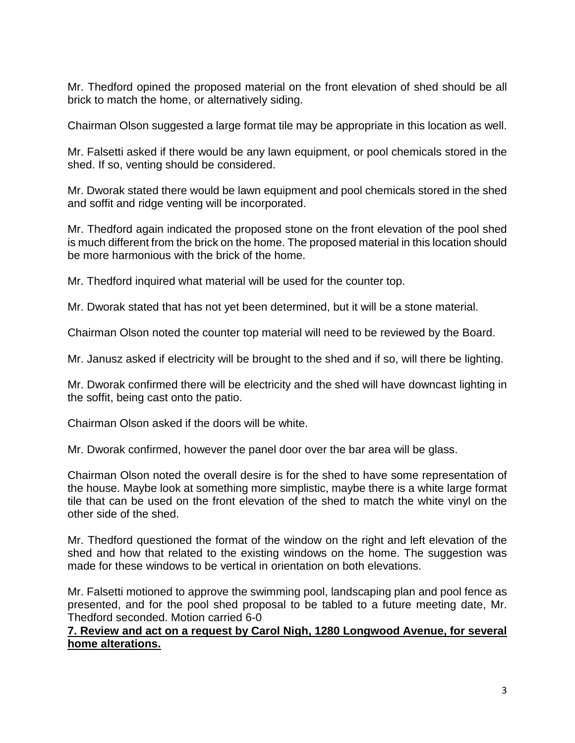Mr. Thedford opined the proposed material on the front elevation of shed should be all brick to match the home, or alternatively siding.

Chairman Olson suggested a large format tile may be appropriate in this location as well.

Mr. Falsetti asked if there would be any lawn equipment, or pool chemicals stored in the shed. If so, venting should be considered.

Mr. Dworak stated there would be lawn equipment and pool chemicals stored in the shed and soffit and ridge venting will be incorporated.

Mr. Thedford again indicated the proposed stone on the front elevation of the pool shed is much different from the brick on the home. The proposed material in this location should be more harmonious with the brick of the home.

Mr. Thedford inquired what material will be used for the counter top.

Mr. Dworak stated that has not yet been determined, but it will be a stone material.

Chairman Olson noted the counter top material will need to be reviewed by the Board.

Mr. Janusz asked if electricity will be brought to the shed and if so, will there be lighting.

Mr. Dworak confirmed there will be electricity and the shed will have downcast lighting in the soffit, being cast onto the patio.

Chairman Olson asked if the doors will be white.

Mr. Dworak confirmed, however the panel door over the bar area will be glass.

Chairman Olson noted the overall desire is for the shed to have some representation of the house. Maybe look at something more simplistic, maybe there is a white large format tile that can be used on the front elevation of the shed to match the white vinyl on the other side of the shed.

Mr. Thedford questioned the format of the window on the right and left elevation of the shed and how that related to the existing windows on the home. The suggestion was made for these windows to be vertical in orientation on both elevations.

Mr. Falsetti motioned to approve the swimming pool, landscaping plan and pool fence as presented, and for the pool shed proposal to be tabled to a future meeting date, Mr. Thedford seconded. Motion carried 6-0

#### **7. Review and act on a request by Carol Nigh, 1280 Longwood Avenue, for several home alterations.**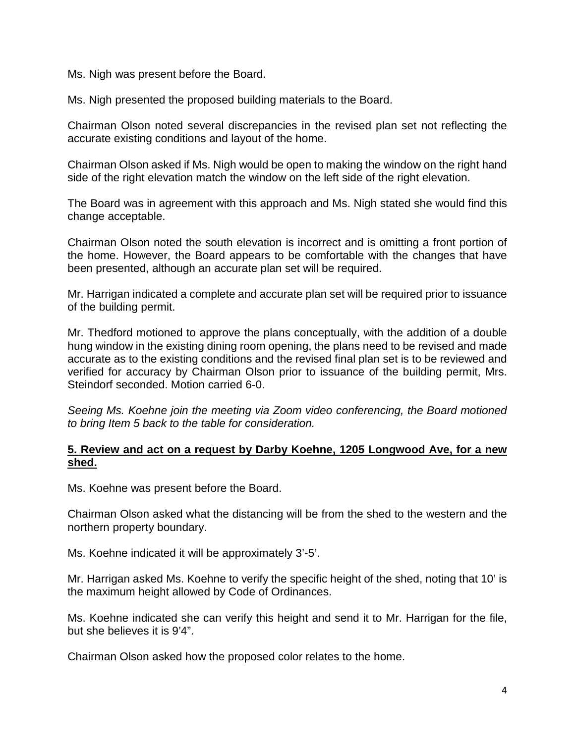Ms. Nigh was present before the Board.

Ms. Nigh presented the proposed building materials to the Board.

Chairman Olson noted several discrepancies in the revised plan set not reflecting the accurate existing conditions and layout of the home.

Chairman Olson asked if Ms. Nigh would be open to making the window on the right hand side of the right elevation match the window on the left side of the right elevation.

The Board was in agreement with this approach and Ms. Nigh stated she would find this change acceptable.

Chairman Olson noted the south elevation is incorrect and is omitting a front portion of the home. However, the Board appears to be comfortable with the changes that have been presented, although an accurate plan set will be required.

Mr. Harrigan indicated a complete and accurate plan set will be required prior to issuance of the building permit.

Mr. Thedford motioned to approve the plans conceptually, with the addition of a double hung window in the existing dining room opening, the plans need to be revised and made accurate as to the existing conditions and the revised final plan set is to be reviewed and verified for accuracy by Chairman Olson prior to issuance of the building permit, Mrs. Steindorf seconded. Motion carried 6-0.

*Seeing Ms. Koehne join the meeting via Zoom video conferencing, the Board motioned to bring Item 5 back to the table for consideration.* 

### **5. Review and act on a request by Darby Koehne, 1205 Longwood Ave, for a new shed.**

Ms. Koehne was present before the Board.

Chairman Olson asked what the distancing will be from the shed to the western and the northern property boundary.

Ms. Koehne indicated it will be approximately 3'-5'.

Mr. Harrigan asked Ms. Koehne to verify the specific height of the shed, noting that 10' is the maximum height allowed by Code of Ordinances.

Ms. Koehne indicated she can verify this height and send it to Mr. Harrigan for the file, but she believes it is 9'4".

Chairman Olson asked how the proposed color relates to the home.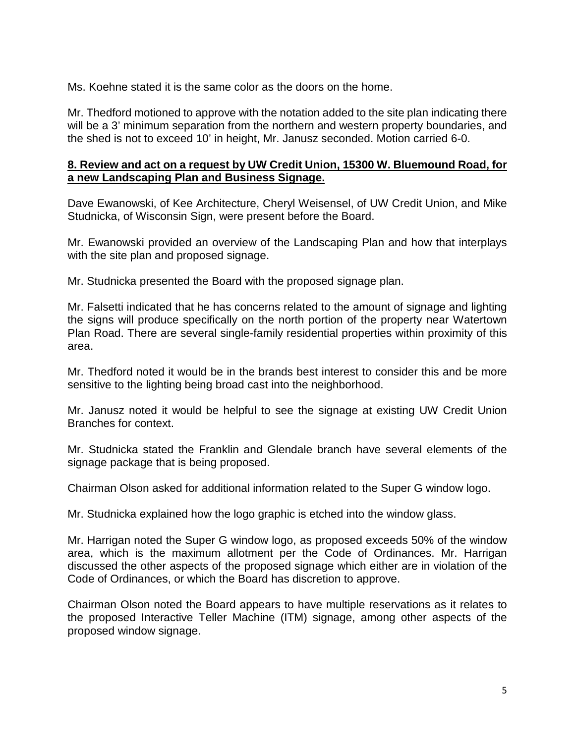Ms. Koehne stated it is the same color as the doors on the home.

Mr. Thedford motioned to approve with the notation added to the site plan indicating there will be a 3' minimum separation from the northern and western property boundaries, and the shed is not to exceed 10' in height, Mr. Janusz seconded. Motion carried 6-0.

### **8. Review and act on a request by UW Credit Union, 15300 W. Bluemound Road, for a new Landscaping Plan and Business Signage.**

Dave Ewanowski, of Kee Architecture, Cheryl Weisensel, of UW Credit Union, and Mike Studnicka, of Wisconsin Sign, were present before the Board.

Mr. Ewanowski provided an overview of the Landscaping Plan and how that interplays with the site plan and proposed signage.

Mr. Studnicka presented the Board with the proposed signage plan.

Mr. Falsetti indicated that he has concerns related to the amount of signage and lighting the signs will produce specifically on the north portion of the property near Watertown Plan Road. There are several single-family residential properties within proximity of this area.

Mr. Thedford noted it would be in the brands best interest to consider this and be more sensitive to the lighting being broad cast into the neighborhood.

Mr. Janusz noted it would be helpful to see the signage at existing UW Credit Union Branches for context.

Mr. Studnicka stated the Franklin and Glendale branch have several elements of the signage package that is being proposed.

Chairman Olson asked for additional information related to the Super G window logo.

Mr. Studnicka explained how the logo graphic is etched into the window glass.

Mr. Harrigan noted the Super G window logo, as proposed exceeds 50% of the window area, which is the maximum allotment per the Code of Ordinances. Mr. Harrigan discussed the other aspects of the proposed signage which either are in violation of the Code of Ordinances, or which the Board has discretion to approve.

Chairman Olson noted the Board appears to have multiple reservations as it relates to the proposed Interactive Teller Machine (ITM) signage, among other aspects of the proposed window signage.